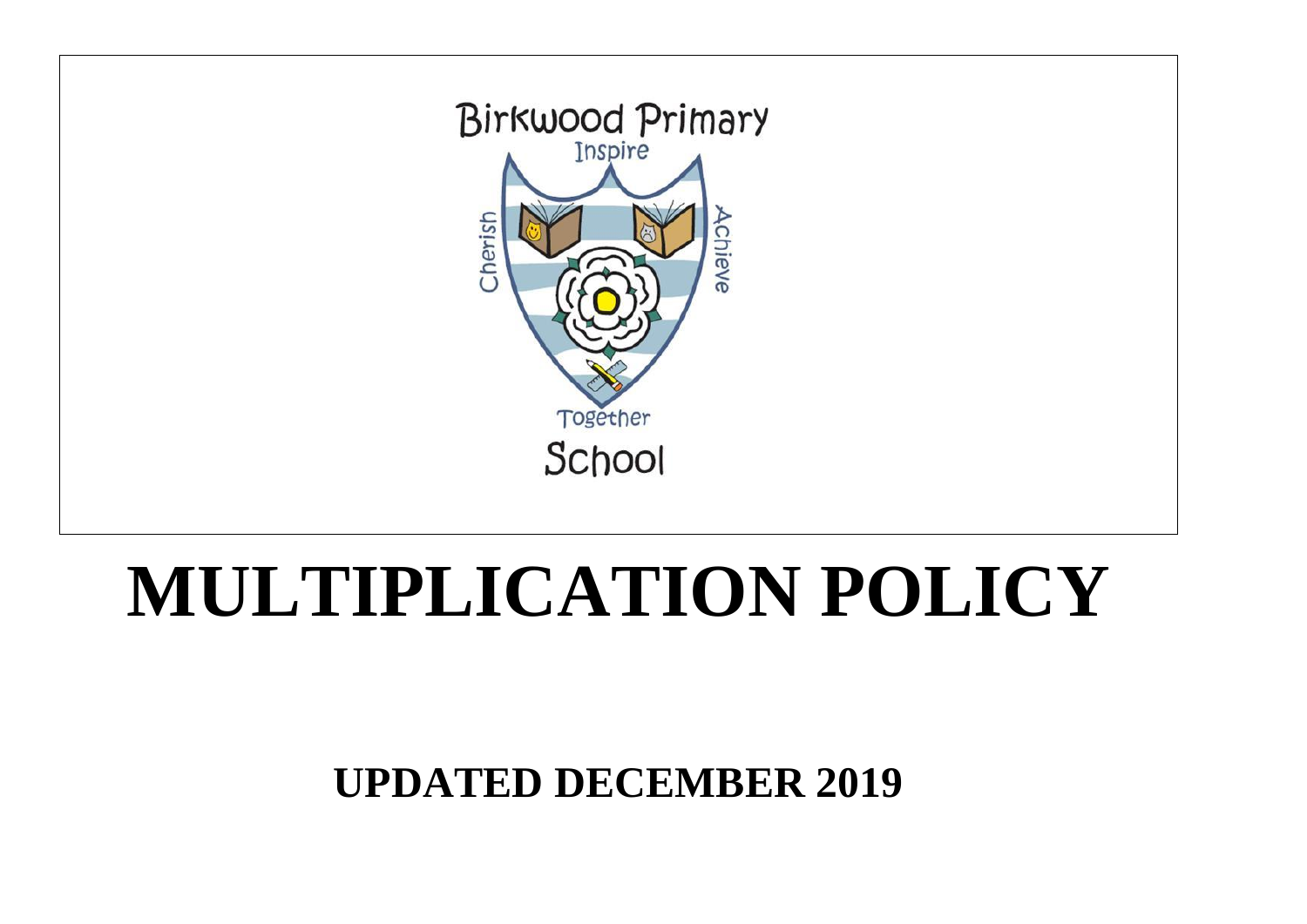# Cherish chieve Together School **MULTIPLICATION POLICY**



**UPDATED DECEMBER 2019**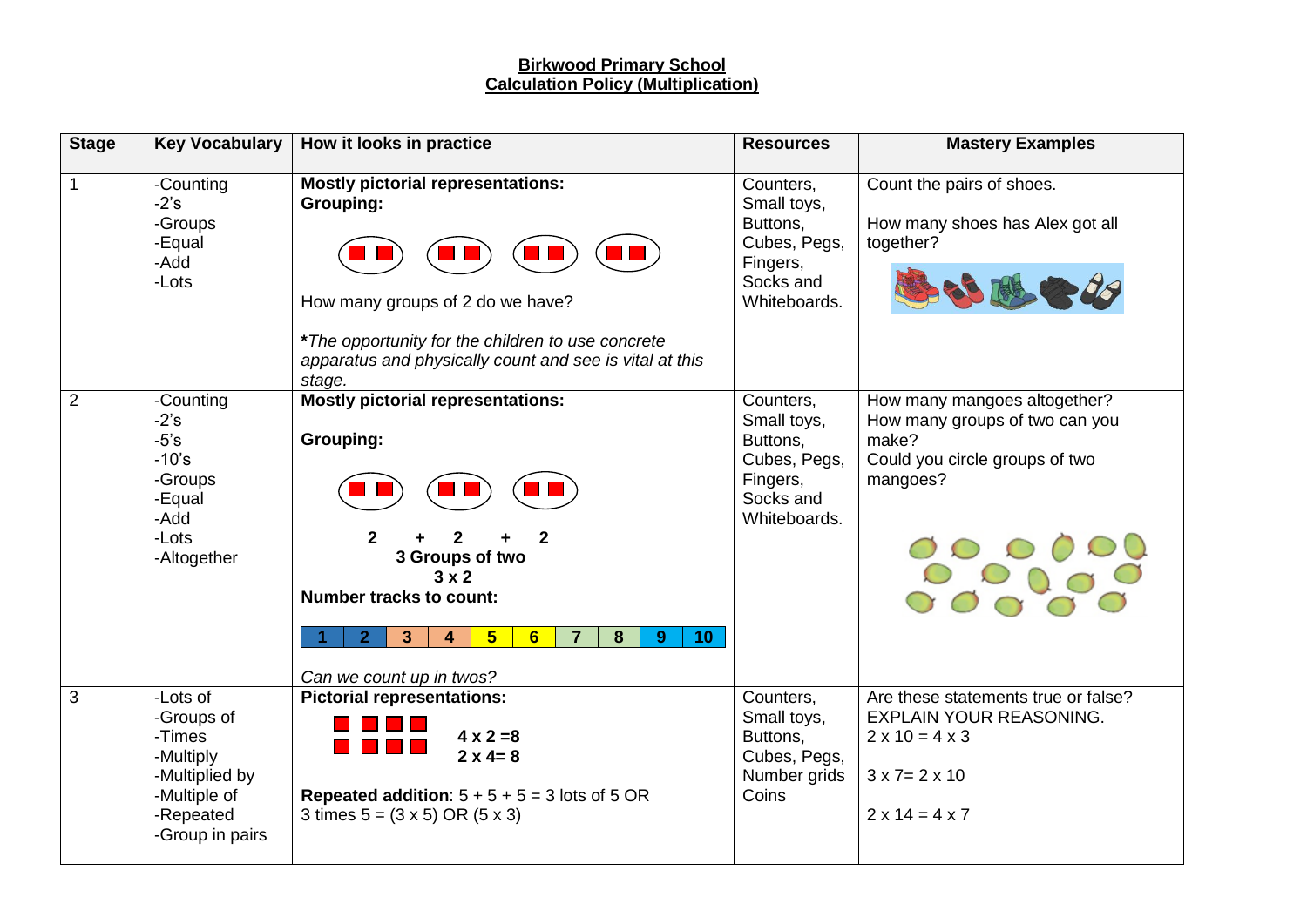#### **Birkwood Primary School Calculation Policy (Multiplication)**

| <b>Stage</b>   | <b>Key Vocabulary</b>                                                                                           | How it looks in practice                                                                                                                                                                                                                                                                               | <b>Resources</b>                                                                              | <b>Mastery Examples</b>                                                                                                                                  |
|----------------|-----------------------------------------------------------------------------------------------------------------|--------------------------------------------------------------------------------------------------------------------------------------------------------------------------------------------------------------------------------------------------------------------------------------------------------|-----------------------------------------------------------------------------------------------|----------------------------------------------------------------------------------------------------------------------------------------------------------|
| $\mathbf 1$    | -Counting<br>$-2's$<br>-Groups<br>-Equal<br>-Add<br>-Lots                                                       | <b>Mostly pictorial representations:</b><br>Grouping:<br>How many groups of 2 do we have?<br>*The opportunity for the children to use concrete<br>apparatus and physically count and see is vital at this<br>stage.                                                                                    | Counters,<br>Small toys,<br>Buttons,<br>Cubes, Pegs,<br>Fingers,<br>Socks and<br>Whiteboards. | Count the pairs of shoes.<br>How many shoes has Alex got all<br>together?<br>300000                                                                      |
| $\overline{2}$ | -Counting<br>$-2's$<br>$-5's$<br>$-10's$<br>-Groups<br>-Equal<br>-Add<br>-Lots<br>-Altogether                   | <b>Mostly pictorial representations:</b><br><b>Grouping:</b><br>$\mathbf{2}$<br>$\mathfrak{p}$<br>2<br>3 Groups of two<br>$3 \times 2$<br><b>Number tracks to count:</b><br>$5\phantom{1}$<br>2 <sup>1</sup><br>3 <sup>2</sup><br>6<br>$\overline{7}$<br>8<br>10<br>4<br>9<br>Can we count up in twos? | Counters,<br>Small toys,<br>Buttons,<br>Cubes, Pegs,<br>Fingers,<br>Socks and<br>Whiteboards. | How many mangoes altogether?<br>How many groups of two can you<br>make?<br>Could you circle groups of two<br>mangoes?                                    |
| 3              | -Lots of<br>-Groups of<br>-Times<br>-Multiply<br>-Multiplied by<br>-Multiple of<br>-Repeated<br>-Group in pairs | <b>Pictorial representations:</b><br>$4 \times 2 = 8$<br>$2 \times 4 = 8$<br>Repeated addition: $5 + 5 + 5 = 3$ lots of 5 OR<br>3 times $5 = (3 \times 5) \text{ OR } (5 \times 3)$                                                                                                                    | Counters,<br>Small toys,<br>Buttons,<br>Cubes, Pegs,<br>Number grids<br>Coins                 | Are these statements true or false?<br>EXPLAIN YOUR REASONING.<br>$2 \times 10 = 4 \times 3$<br>$3 \times 7 = 2 \times 10$<br>$2 \times 14 = 4 \times 7$ |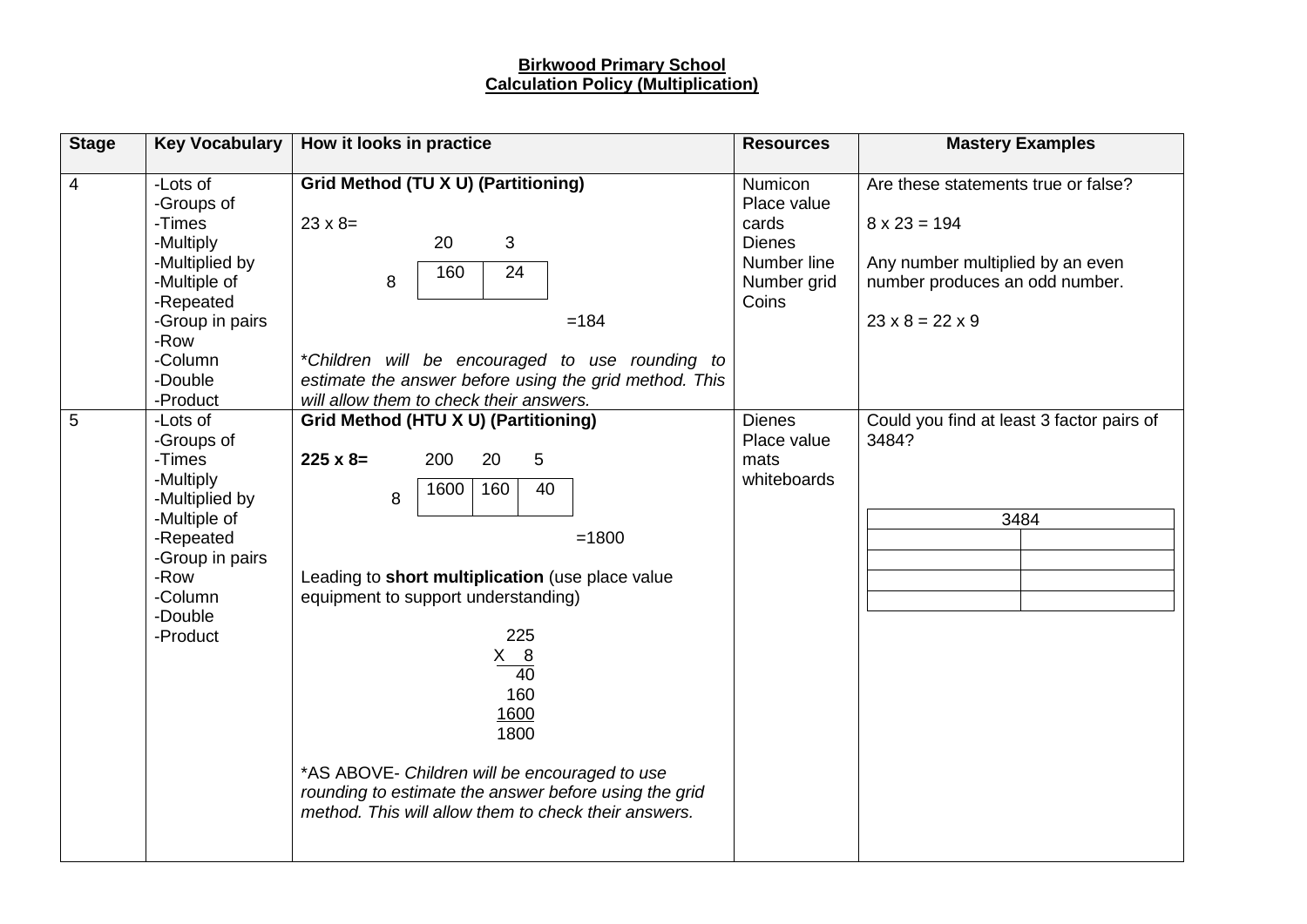#### **Birkwood Primary School Calculation Policy (Multiplication)**

| <b>Stage</b>                                                                                                                                                                      | <b>Key Vocabulary</b>                                                                                                                                                                                                                                                                                                                                                                                              | How it looks in practice                                                                                                                                                                                                                             | <b>Resources</b>                                                                        | <b>Mastery Examples</b>                                                                                                                                         |
|-----------------------------------------------------------------------------------------------------------------------------------------------------------------------------------|--------------------------------------------------------------------------------------------------------------------------------------------------------------------------------------------------------------------------------------------------------------------------------------------------------------------------------------------------------------------------------------------------------------------|------------------------------------------------------------------------------------------------------------------------------------------------------------------------------------------------------------------------------------------------------|-----------------------------------------------------------------------------------------|-----------------------------------------------------------------------------------------------------------------------------------------------------------------|
| 4                                                                                                                                                                                 | -Lots of<br>-Groups of<br>-Times<br>-Multiply<br>-Multiplied by<br>-Multiple of<br>-Repeated<br>-Group in pairs<br>-Row<br>-Column<br>-Double<br>-Product                                                                                                                                                                                                                                                          | Grid Method (TU X U) (Partitioning)<br>$23 \times 8=$<br>3<br>20<br>24<br>160<br>8<br>$=184$<br>*Children will be encouraged to use rounding to<br>estimate the answer before using the grid method. This<br>will allow them to check their answers. | Numicon<br>Place value<br>cards<br><b>Dienes</b><br>Number line<br>Number grid<br>Coins | Are these statements true or false?<br>$8 \times 23 = 194$<br>Any number multiplied by an even<br>number produces an odd number.<br>$23 \times 8 = 22 \times 9$ |
| 5<br>-Lots of<br>-Groups of<br>-Times<br>$225 \times 8=$<br>-Multiply<br>-Multiplied by<br>-Multiple of<br>-Repeated<br>-Group in pairs<br>-Row<br>-Column<br>-Double<br>-Product | Grid Method (HTU X U) (Partitioning)<br>5<br>200<br>20<br>160<br>40<br>1600<br>8<br>$=1800$<br>Leading to short multiplication (use place value<br>equipment to support understanding)<br>225<br>$X$ 8<br>$\overline{40}$<br>160<br>1600<br>1800<br>*AS ABOVE- Children will be encouraged to use<br>rounding to estimate the answer before using the grid<br>method. This will allow them to check their answers. | <b>Dienes</b><br>Place value<br>mats<br>whiteboards                                                                                                                                                                                                  | Could you find at least 3 factor pairs of<br>3484?<br>3484                              |                                                                                                                                                                 |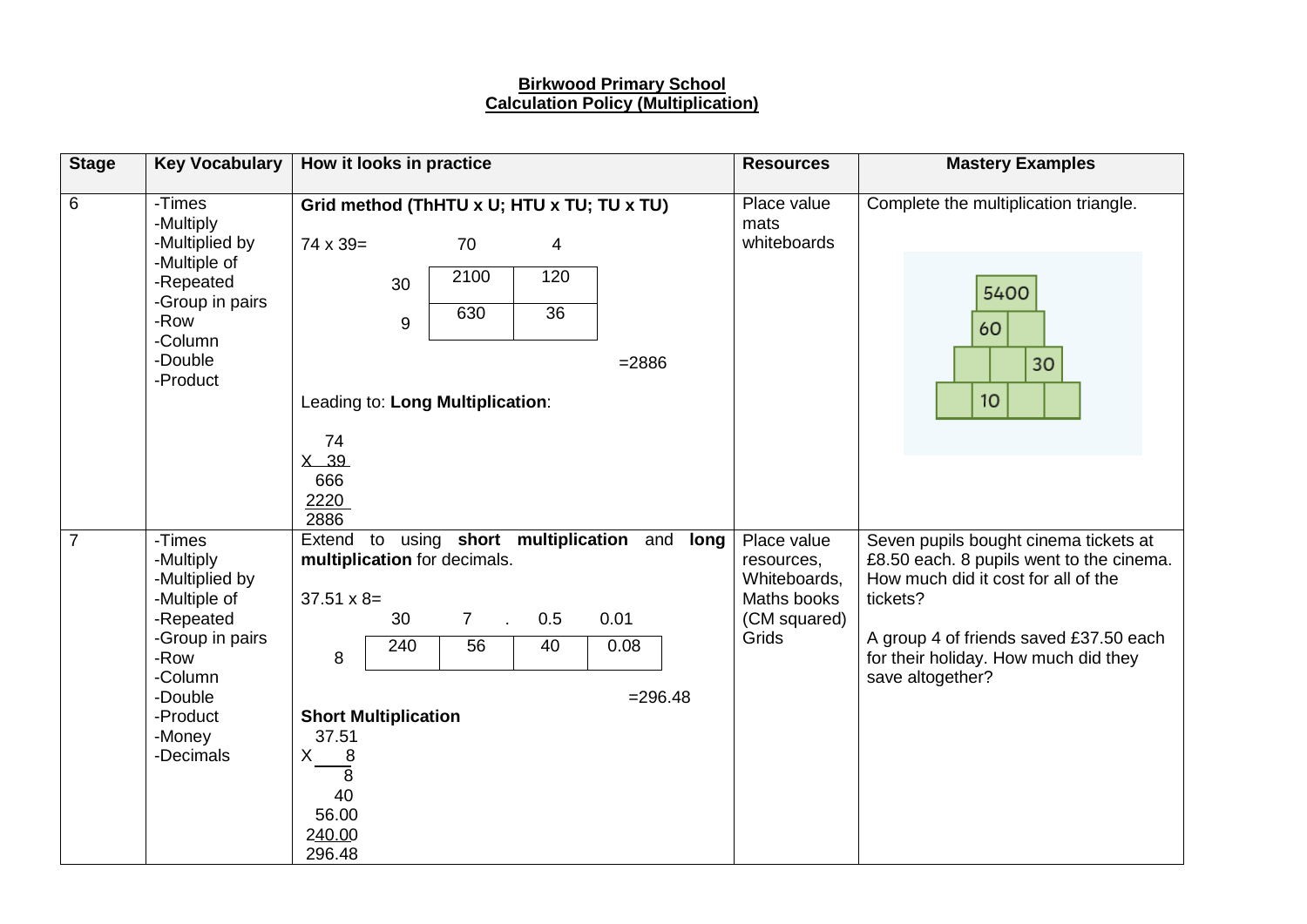### **Birkwood Primary School Calculation Policy (Multiplication)**

| <b>Stage</b>   | <b>Key Vocabulary</b>                                                                                                                                  | How it looks in practice                                                                                       |                                                |                                                       |                           |                                                              | <b>Resources</b> | <b>Mastery Examples</b>                                                           |                                                                                                                                                                                                                                            |
|----------------|--------------------------------------------------------------------------------------------------------------------------------------------------------|----------------------------------------------------------------------------------------------------------------|------------------------------------------------|-------------------------------------------------------|---------------------------|--------------------------------------------------------------|------------------|-----------------------------------------------------------------------------------|--------------------------------------------------------------------------------------------------------------------------------------------------------------------------------------------------------------------------------------------|
| 6              | -Times<br>-Multiply<br>-Multiplied by<br>-Multiple of<br>-Repeated<br>-Group in pairs<br>-Row<br>-Column<br>-Double<br>-Product                        | $74 \times 39=$<br>74<br>$X$ 39<br>666<br>2220<br>2886                                                         | 30<br>9                                        | 70<br>2100<br>630<br>Leading to: Long Multiplication: | 4<br>120<br>36            | Grid method (ThHTU x U; HTU x TU; TU x TU)<br>$= 2886$       |                  | Place value<br>mats<br>whiteboards                                                | Complete the multiplication triangle.<br>5400<br>60<br>30<br>10                                                                                                                                                                            |
| $\overline{7}$ | -Times<br>-Multiply<br>-Multiplied by<br>-Multiple of<br>-Repeated<br>-Group in pairs<br>-Row<br>-Column<br>-Double<br>-Product<br>-Money<br>-Decimals | Extend<br>$37.51 \times 8 =$<br>8<br>37.51<br>X.<br>8<br>$\overline{\bf 8}$<br>40<br>56.00<br>240.00<br>296.48 | to<br>30<br>240<br><b>Short Multiplication</b> | multiplication for decimals.<br>$\overline{7}$<br>56  | 0.5<br>$\mathbf{r}$<br>40 | using short multiplication and<br>0.01<br>0.08<br>$= 296.48$ | long             | Place value<br>resources,<br>Whiteboards,<br>Maths books<br>(CM squared)<br>Grids | Seven pupils bought cinema tickets at<br>£8.50 each. 8 pupils went to the cinema.<br>How much did it cost for all of the<br>tickets?<br>A group 4 of friends saved £37.50 each<br>for their holiday. How much did they<br>save altogether? |